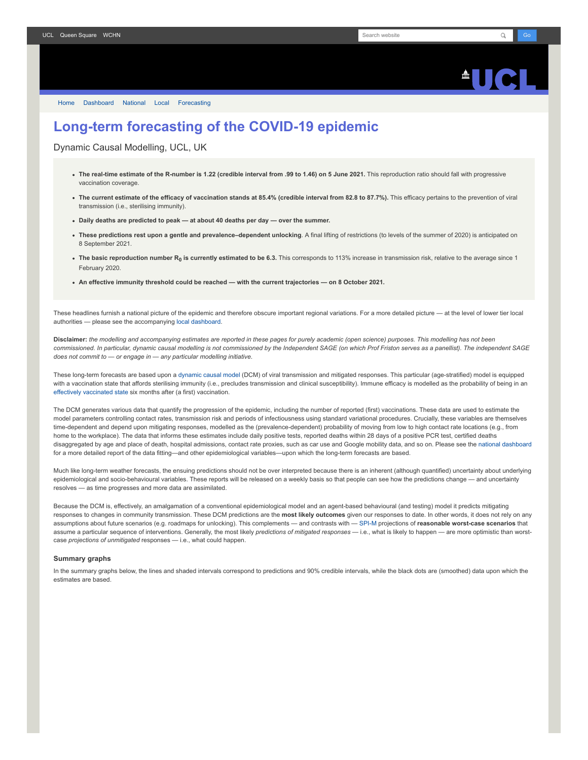

[Home](https://www.fil.ion.ucl.ac.uk/spm/covid-19/) [Dashboard](https://www.fil.ion.ucl.ac.uk/spm/covid-19/dashboard/) [National](https://www.fil.ion.ucl.ac.uk/spm/covid-19/dashboard/) [Local](https://www.fil.ion.ucl.ac.uk/spm/covid-19/dashboard/local/) [Forecasting](https://www.fil.ion.ucl.ac.uk/spm/covid-19/forecasting/)

## **Long-term forecasting of the COVID-19 epidemic**

Dynamic Causal Modelling, UCL, UK

- **The real-time estimate of the R-number is 1.22 (credible interval from .99 to 1.46) on 5 June 2021.** This reproduction ratio should fall with progressive vaccination coverage.
- The current estimate of the efficacy of vaccination stands at 85.4% (credible interval from 82.8 to 87.7%). This efficacy pertains to the prevention of viral transmission (i.e., sterilising immunity).
- **Daily deaths are predicted to peak at about 40 deaths per day over the summer.**
- **These predictions rest upon a gentle and prevalence–dependent unlocking**. A final lifting of restrictions (to levels of the summer of 2020) is anticipated on 8 September 2021.
- **The basic reproduction number R<sup>0</sup> is currently estimated to be 6.3.** This corresponds to 113% increase in transmission risk, relative to the average since 1 February 2020.
- **An effective immunity threshold could be reached with the current trajectories on 8 October 2021.**

These headlines furnish a national picture of the epidemic and therefore obscure important regional variations. For a more detailed picture - at the level of lower tier local authorities — please see the accompanying [local dashboard.](https://www.fil.ion.ucl.ac.uk/spm/covid-19/dashboard/local/)

**Disclaimer:** *the modelling and accompanying estimates are reported in these pages for purely academic (open science) purposes. This modelling has not been commissioned. In particular, dynamic causal modelling is not commissioned by the Independent SAGE (on which Prof Friston serves as a panellist). The independent SAGE does not commit to — or engage in — any particular modelling initiative.*

These long-term forecasts are based upon a [dynamic causal model](https://www.fil.ion.ucl.ac.uk/spm/covid-19) (DCM) of viral transmission and mitigated responses. This particular (age-stratified) model is equipped with a vaccination state that affords sterilising immunity (i.e., precludes transmission and clinical susceptibility). Immune efficacy is modelled as the probability of being in an [effectively vaccinated state](https://www.medrxiv.org/content/10.1101/2021.01.10.21249520v1) six months after (a first) vaccination.

The DCM generates various data that quantify the progression of the epidemic, including the number of reported (first) vaccinations. These data are used to estimate the model parameters controlling contact rates, transmission risk and periods of infectiousness using standard variational procedures. Crucially, these variables are themselves time-dependent and depend upon mitigating responses, modelled as the (prevalence-dependent) probability of moving from low to high contact rate locations (e.g., from home to the workplace). The data that informs these estimates include daily positive tests, reported deaths within 28 days of a positive PCR test, certified deaths disaggregated by age and place of death, hospital admissions, contact rate proxies, such as car use and Google mobility data, and so on. Please see the [national dashboard](https://www.fil.ion.ucl.ac.uk/spm/covid-19/dashboard/) for a more detailed report of the data fitting—and other epidemiological variables—upon which the long-term forecasts are based.

Much like long-term weather forecasts, the ensuing predictions should not be over interpreted because there is an inherent (although quantified) uncertainty about underlying epidemiological and socio-behavioural variables. These reports will be released on a weekly basis so that people can see how the predictions change — and uncertainty resolves — as time progresses and more data are assimilated.

Because the DCM is, effectively, an amalgamation of a conventional epidemiological model and an agent-based behavioural (and testing) model it predicts mitigating responses to changes in community transmission. These DCM predictions are the **most likely outcomes** given our responses to date. In other words, it does not rely on any assumptions about future scenarios (e.g. roadmaps for unlocking). This complements — and contrasts with — [SPI-M](https://www.gov.uk/government/groups/scientific-pandemic-influenza-subgroup-on-modelling) projections of **reasonable worst-case scenarios** that assume a particular sequence of interventions. Generally, the most likely *predictions of mitigated responses* — i.e., what is likely to happen — are more optimistic than worstcase *projections of unmitigated* responses — i.e., what could happen.

## **Summary graphs**

In the summary graphs below, the lines and shaded intervals correspond to predictions and 90% credible intervals, while the black dots are (smoothed) data upon which the estimates are based.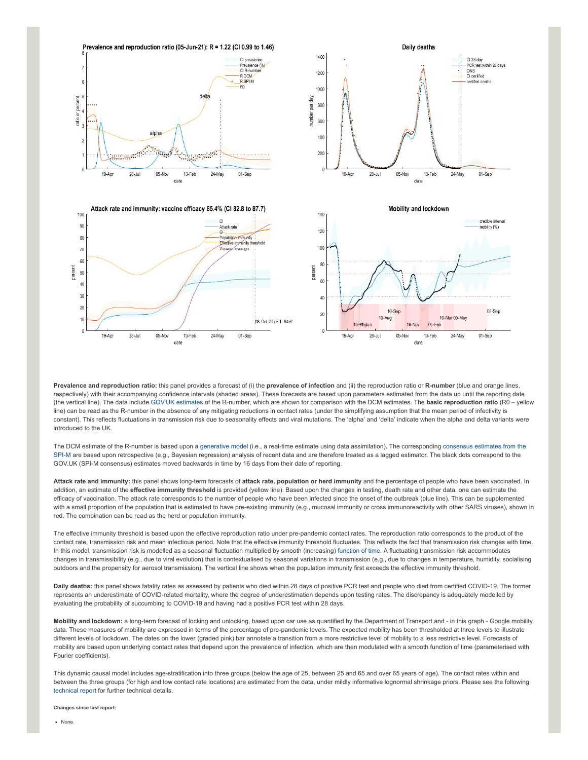

**Prevalence and reproduction ratio:** this panel provides a forecast of (i) the **prevalence of infection** and (ii) the reproduction ratio or **R-number** (blue and orange lines, respectively) with their accompanying confidence intervals (shaded areas). These forecasts are based upon parameters estimated from the data up until the reporting date (the vertical line). The data include [GOV.UK estimates](https://www.gov.uk/guidance/the-r-number-in-the-uk#latest-r-and-growth-rate) of the R-number, which are shown for comparison with the DCM estimates. The **basic reproduction ratio** (R0 – yellow line) can be read as the R-number in the absence of any mitigating reductions in contact rates (under the simplifying assumption that the mean period of infectivity is constant). This reflects fluctuations in transmission risk due to seasonality effects and viral mutations. The 'alpha' and 'delta' indicate when the alpha and delta variants were introduced to the UK.

[The DCM estimate of the R-number is based upon a g](https://www.gov.uk/guidance/the-r-number-in-the-uk#contents)[enerative mode](https://en.wikipedia.org/wiki/Generative_model)[l \(i.e., a real-time estimate using data assimilation\). The corresponding consensus estimates from the](https://www.gov.uk/guidance/the-r-number-in-the-uk#contents) SPI-M are based upon retrospective (e.g., Bayesian regression) analysis of recent data and are therefore treated as a lagged estimator. The black dots correspond to the GOV.UK (SPI-M consensus) estimates moved backwards in time by 16 days from their date of reporting.

**Attack rate and immunity:** this panel shows long-term forecasts of **attack rate, population or herd immunity** and the percentage of people who have been vaccinated. In addition, an estimate of the effective immunity threshold is provided (yellow line). Based upon the changes in testing, death rate and other data, one can estimate the efficacy of vaccination. The attack rate corresponds to the number of people who have been infected since the onset of the outbreak (blue line). This can be supplemented with a small proportion of the population that is estimated to have pre-existing immunity (e.g., mucosal immunity or cross immunoreactivity with other SARS viruses), shown in red. The combination can be read as the herd or population immunity.

The effective immunity threshold is based upon the effective reproduction ratio under pre-pandemic contact rates. The reproduction ratio corresponds to the product of the contact rate, transmission risk and mean infectious period. Note that the effective immunity threshold fluctuates. This reflects the fact that transmission risk changes with time. In this model, transmission risk is modelled as a seasonal fluctuation multiplied by smooth (increasing) [function of time.](https://www.medrxiv.org/content/10.1101/2021.01.10.21249520v1) A fluctuating transmission risk accommodates changes in transmissibility (e.g., due to viral evolution) that is contextualised by seasonal variations in transmission (e.g., due to changes in temperature, humidity, socialising outdoors and the propensity for aerosol transmission). The vertical line shows when the population immunity first exceeds the effective immunity threshold.

**Daily deaths:** this panel shows fatality rates as assessed by patients who died within 28 days of positive PCR test and people who died from certified COVID-19. The former represents an underestimate of COVID-related mortality, where the degree of underestimation depends upon testing rates. The discrepancy is adequately modelled by evaluating the probability of succumbing to COVID-19 and having had a positive PCR test within 28 days.

**Mobility and lockdown:** a long-term forecast of locking and unlocking, based upon car use as quantified by the Department of Transport and - in this graph - Google mobility data. These measures of mobility are expressed in terms of the percentage of pre-pandemic levels. The expected mobility has been thresholded at three levels to illustrate different levels of lockdown. The dates on the lower (graded pink) bar annotate a transition from a more restrictive level of mobility to a less restrictive level. Forecasts of mobility are based upon underlying contact rates that depend upon the prevalence of infection, which are then modulated with a smooth function of time (parameterised with Fourier coefficients).

This dynamic causal model includes age-stratification into three groups (below the age of 25, between 25 and 65 and over 65 years of age). The contact rates within and between the three groups (for high and low contact rate locations) are estimated from the data, under mildly informative lognormal shrinkage priors. Please see the following [technical report](https://arxiv.org/abs/2011.12400) for further technical details.

**Changes since last report:**